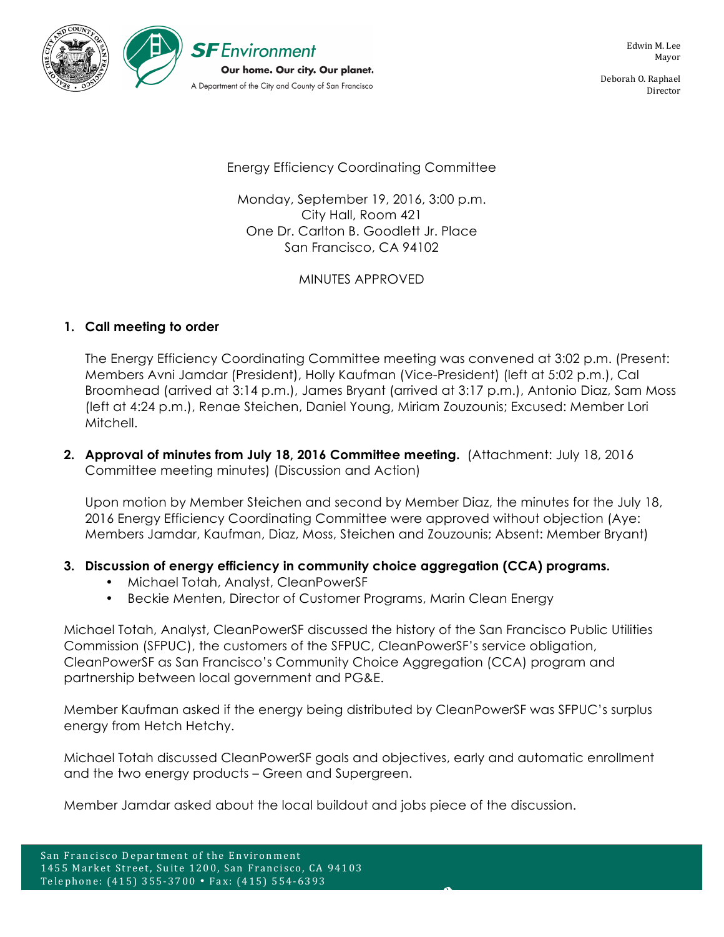

Deborah O. Raphael Director

Energy Efficiency Coordinating Committee

Monday, September 19, 2016, 3:00 p.m. City Hall, Room 421 One Dr. Carlton B. Goodlett Jr. Place San Francisco, CA 94102

MINUTES APPROVED

## **1. Call meeting to order**

The Energy Efficiency Coordinating Committee meeting was convened at 3:02 p.m. (Present: Members Avni Jamdar (President), Holly Kaufman (Vice-President) (left at 5:02 p.m.), Cal Broomhead (arrived at 3:14 p.m.), James Bryant (arrived at 3:17 p.m.), Antonio Diaz, Sam Moss (left at 4:24 p.m.), Renae Steichen, Daniel Young, Miriam Zouzounis; Excused: Member Lori Mitchell.

**2. Approval of minutes from July 18, 2016 Committee meeting.** (Attachment: July 18, 2016 Committee meeting minutes) (Discussion and Action)

Upon motion by Member Steichen and second by Member Diaz, the minutes for the July 18, 2016 Energy Efficiency Coordinating Committee were approved without objection (Aye: Members Jamdar, Kaufman, Diaz, Moss, Steichen and Zouzounis; Absent: Member Bryant)

## **3. Discussion of energy efficiency in community choice aggregation (CCA) programs.**

- Michael Totah, Analyst, CleanPowerSF
- Beckie Menten, Director of Customer Programs, Marin Clean Energy

Michael Totah, Analyst, CleanPowerSF discussed the history of the San Francisco Public Utilities Commission (SFPUC), the customers of the SFPUC, CleanPowerSF's service obligation, CleanPowerSF as San Francisco's Community Choice Aggregation (CCA) program and partnership between local government and PG&E.

Member Kaufman asked if the energy being distributed by CleanPowerSF was SFPUC's surplus energy from Hetch Hetchy.

Michael Totah discussed CleanPowerSF goals and objectives, early and automatic enrollment and the two energy products – Green and Supergreen.

Member Jamdar asked about the local buildout and jobs piece of the discussion.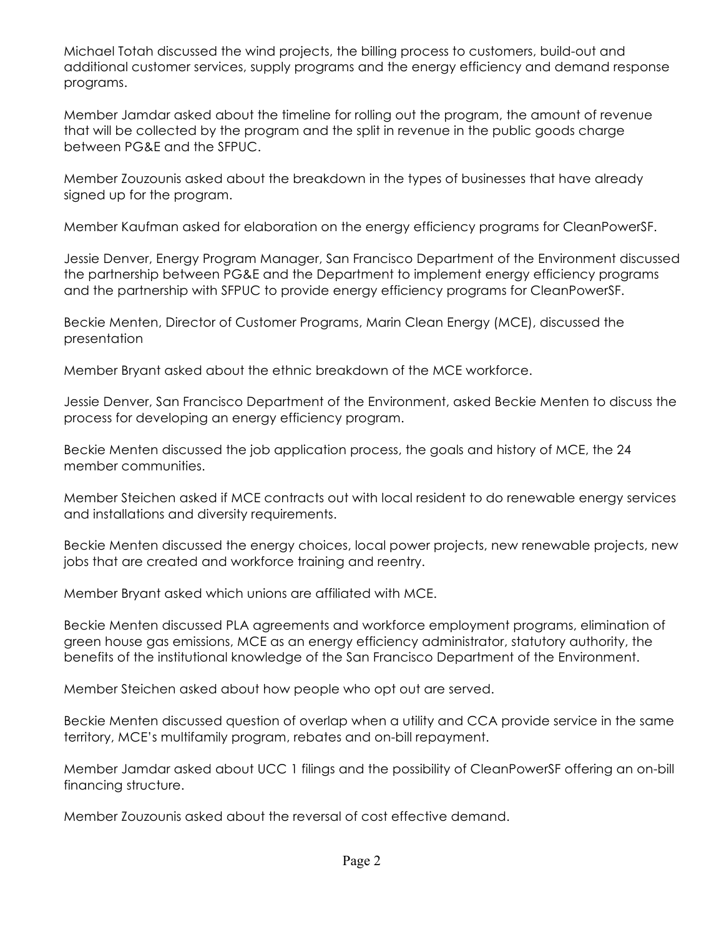Michael Totah discussed the wind projects, the billing process to customers, build-out and additional customer services, supply programs and the energy efficiency and demand response programs.

Member Jamdar asked about the timeline for rolling out the program, the amount of revenue that will be collected by the program and the split in revenue in the public goods charge between PG&E and the SFPUC.

Member Zouzounis asked about the breakdown in the types of businesses that have already signed up for the program.

Member Kaufman asked for elaboration on the energy efficiency programs for CleanPowerSF.

Jessie Denver, Energy Program Manager, San Francisco Department of the Environment discussed the partnership between PG&E and the Department to implement energy efficiency programs and the partnership with SFPUC to provide energy efficiency programs for CleanPowerSF.

Beckie Menten, Director of Customer Programs, Marin Clean Energy (MCE), discussed the presentation

Member Bryant asked about the ethnic breakdown of the MCE workforce.

Jessie Denver, San Francisco Department of the Environment, asked Beckie Menten to discuss the process for developing an energy efficiency program.

Beckie Menten discussed the job application process, the goals and history of MCE, the 24 member communities.

Member Steichen asked if MCE contracts out with local resident to do renewable energy services and installations and diversity requirements.

Beckie Menten discussed the energy choices, local power projects, new renewable projects, new jobs that are created and workforce training and reentry.

Member Bryant asked which unions are affiliated with MCE.

Beckie Menten discussed PLA agreements and workforce employment programs, elimination of green house gas emissions, MCE as an energy efficiency administrator, statutory authority, the benefits of the institutional knowledge of the San Francisco Department of the Environment.

Member Steichen asked about how people who opt out are served.

Beckie Menten discussed question of overlap when a utility and CCA provide service in the same territory, MCE's multifamily program, rebates and on-bill repayment.

Member Jamdar asked about UCC 1 filings and the possibility of CleanPowerSF offering an on-bill financing structure.

Member Zouzounis asked about the reversal of cost effective demand.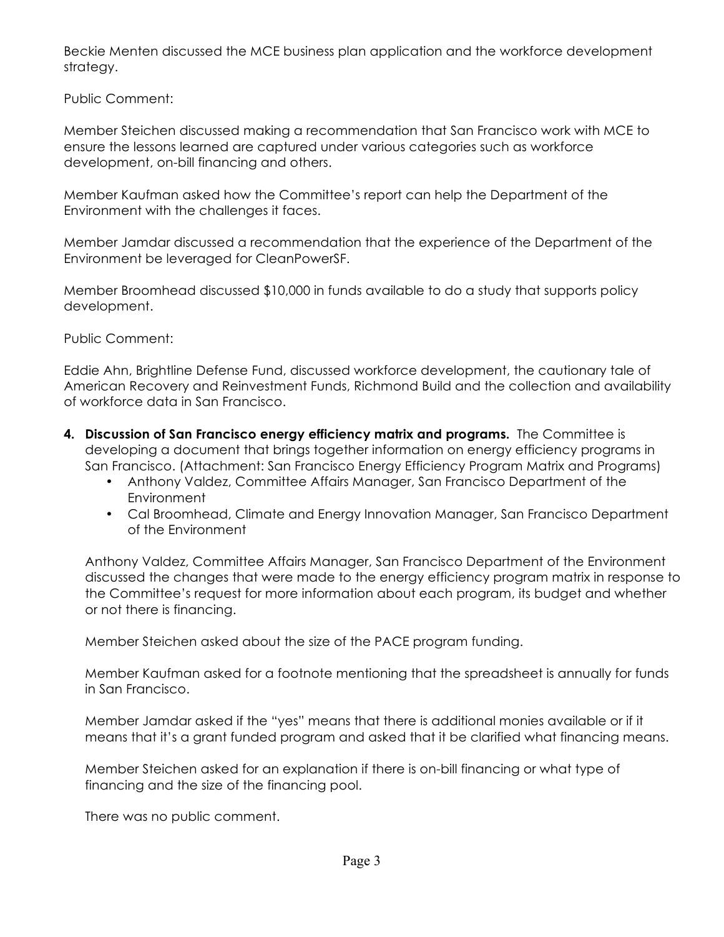Beckie Menten discussed the MCE business plan application and the workforce development strategy.

Public Comment:

Member Steichen discussed making a recommendation that San Francisco work with MCE to ensure the lessons learned are captured under various categories such as workforce development, on-bill financing and others.

Member Kaufman asked how the Committee's report can help the Department of the Environment with the challenges it faces.

Member Jamdar discussed a recommendation that the experience of the Department of the Environment be leveraged for CleanPowerSF.

Member Broomhead discussed \$10,000 in funds available to do a study that supports policy development.

Public Comment:

Eddie Ahn, Brightline Defense Fund, discussed workforce development, the cautionary tale of American Recovery and Reinvestment Funds, Richmond Build and the collection and availability of workforce data in San Francisco.

- **4. Discussion of San Francisco energy efficiency matrix and programs.** The Committee is developing a document that brings together information on energy efficiency programs in San Francisco. (Attachment: San Francisco Energy Efficiency Program Matrix and Programs)
	- Anthony Valdez, Committee Affairs Manager, San Francisco Department of the **Environment**
	- Cal Broomhead, Climate and Energy Innovation Manager, San Francisco Department of the Environment

Anthony Valdez, Committee Affairs Manager, San Francisco Department of the Environment discussed the changes that were made to the energy efficiency program matrix in response to the Committee's request for more information about each program, its budget and whether or not there is financing.

Member Steichen asked about the size of the PACE program funding.

Member Kaufman asked for a footnote mentioning that the spreadsheet is annually for funds in San Francisco.

Member Jamdar asked if the "yes" means that there is additional monies available or if it means that it's a grant funded program and asked that it be clarified what financing means.

Member Steichen asked for an explanation if there is on-bill financing or what type of financing and the size of the financing pool.

There was no public comment.